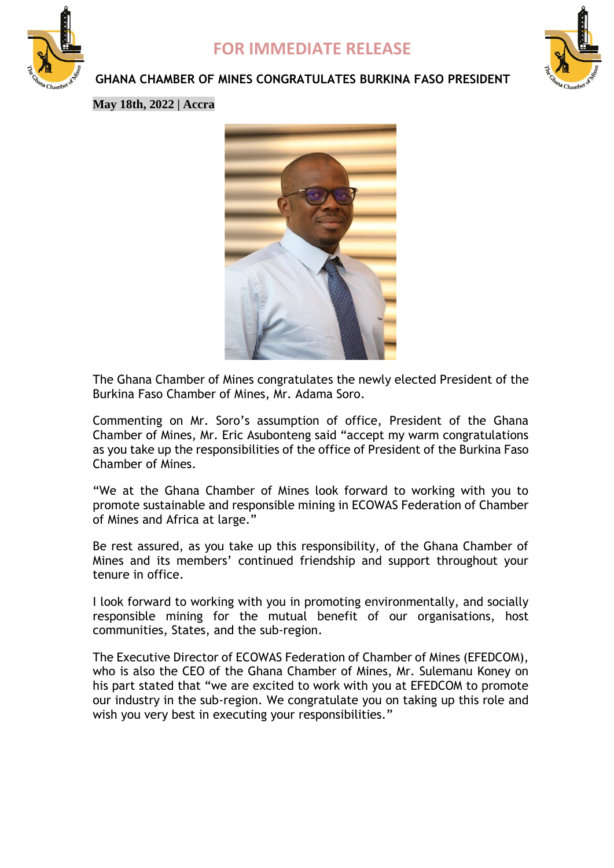

## **FOR IMMEDIATE RELEASE**



### **GHANA CHAMBER OF MINES CONGRATULATES BURKINA FASO PRESIDENT**

**May 18th, 2022 | Accra**



The Ghana Chamber of Mines congratulates the newly elected President of the Burkina Faso Chamber of Mines, Mr. Adama Soro.

Commenting on Mr. Soro's assumption of office, President of the Ghana Chamber of Mines, Mr. Eric Asubonteng said "accept my warm congratulations as you take up the responsibilities of the office of President of the Burkina Faso Chamber of Mines.

"We at the Ghana Chamber of Mines look forward to working with you to promote sustainable and responsible mining in ECOWAS Federation of Chamber of Mines and Africa at large."

Be rest assured, as you take up this responsibility, of the Ghana Chamber of Mines and its members' continued friendship and support throughout your tenure in office.

I look forward to working with you in promoting environmentally, and socially responsible mining for the mutual benefit of our organisations, host communities, States, and the sub-region.

The Executive Director of ECOWAS Federation of Chamber of Mines (EFEDCOM), who is also the CEO of the Ghana Chamber of Mines, Mr. Sulemanu Koney on his part stated that "we are excited to work with you at EFEDCOM to promote our industry in the sub-region. We congratulate you on taking up this role and wish you very best in executing your responsibilities."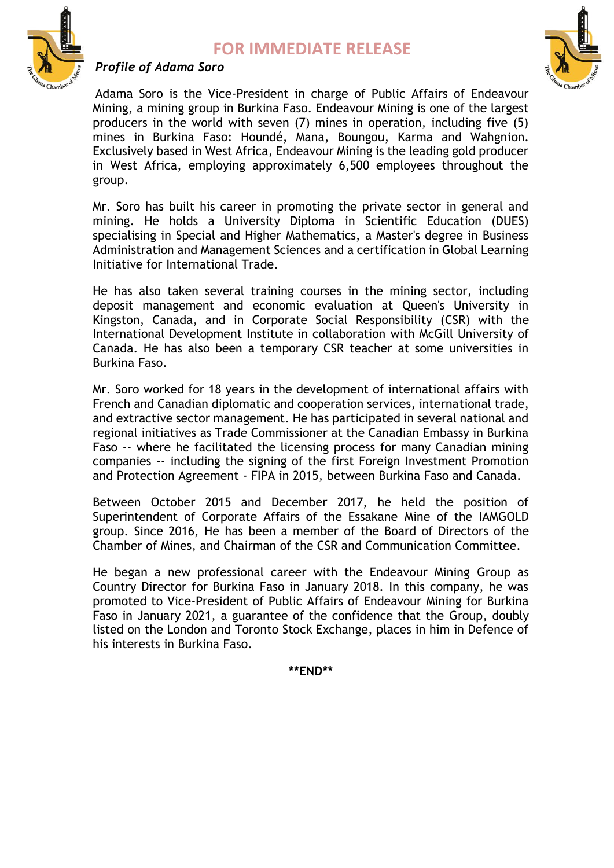### **FOR IMMEDIATE RELEASE**



#### *Profile of Adama Soro*

Adama Soro is the Vice-President in charge of Public Affairs of Endeavour Mining, a mining group in Burkina Faso. Endeavour Mining is one of the largest producers in the world with seven (7) mines in operation, including five (5) mines in Burkina Faso: Houndé, Mana, Boungou, Karma and Wahgnion. Exclusively based in West Africa, Endeavour Mining is the leading gold producer in West Africa, employing approximately 6,500 employees throughout the group.

Mr. Soro has built his career in promoting the private sector in general and mining. He holds a University Diploma in Scientific Education (DUES) specialising in Special and Higher Mathematics, a Master's degree in Business Administration and Management Sciences and a certification in Global Learning Initiative for International Trade.

He has also taken several training courses in the mining sector, including deposit management and economic evaluation at Queen's University in Kingston, Canada, and in Corporate Social Responsibility (CSR) with the International Development Institute in collaboration with McGill University of Canada. He has also been a temporary CSR teacher at some universities in Burkina Faso.

Mr. Soro worked for 18 years in the development of international affairs with French and Canadian diplomatic and cooperation services, international trade, and extractive sector management. He has participated in several national and regional initiatives as Trade Commissioner at the Canadian Embassy in Burkina Faso -- where he facilitated the licensing process for many Canadian mining companies -- including the signing of the first Foreign Investment Promotion and Protection Agreement - FIPA in 2015, between Burkina Faso and Canada.

Between October 2015 and December 2017, he held the position of Superintendent of Corporate Affairs of the Essakane Mine of the IAMGOLD group. Since 2016, He has been a member of the Board of Directors of the Chamber of Mines, and Chairman of the CSR and Communication Committee.

He began a new professional career with the Endeavour Mining Group as Country Director for Burkina Faso in January 2018. In this company, he was promoted to Vice-President of Public Affairs of Endeavour Mining for Burkina Faso in January 2021, a guarantee of the confidence that the Group, doubly listed on the London and Toronto Stock Exchange, places in him in Defence of his interests in Burkina Faso.

**\*\*END\*\***